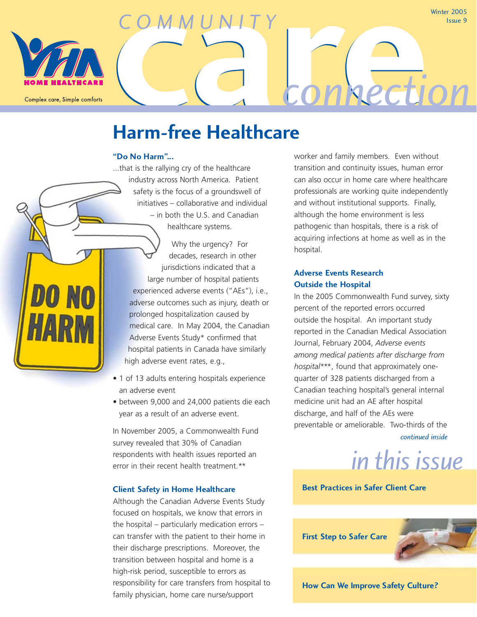Complex care, Simple comforts

Winter 2005 Issue 9

## **Harm-free Healthcare**

*COMMUNITY*

### **"Do No Harm"...**

...that is the rallying cry of the healthcare industry across North America. Patient safety is the focus of a groundswell of initiatives – collaborative and individual – in both the U.S. and Canadian healthcare systems.

Why the urgency? For decades, research in other jurisdictions indicated that a large number of hospital patients experienced adverse events ("AEs"), i.e., adverse outcomes such as injury, death or prolonged hospitalization caused by medical care. In May 2004, the Canadian Adverse Events Study\* confirmed that hospital patients in Canada have similarly high adverse event rates, e.g.,

- 1 of 13 adults entering hospitals experience an adverse event
- between 9,000 and 24,000 patients die each year as a result of an adverse event.

In November 2005, a Commonwealth Fund survey revealed that 30% of Canadian respondents with health issues reported an error in their recent health treatment.\*\*

### **Client Safety in Home Healthcare**

Although the Canadian Adverse Events Study focused on hospitals, we know that errors in the hospital – particularly medication errors – can transfer with the patient to their home in their discharge prescriptions. Moreover, the transition between hospital and home is a high-risk period, susceptible to errors as responsibility for care transfers from hospital to family physician, home care nurse/support

worker and family members. Even without transition and continuity issues, human error can also occur in home care where healthcare professionals are working quite independently and without institutional supports. Finally, although the home environment is less pathogenic than hospitals, there is a risk of acquiring infections at home as well as in the hospital.

**care***connection*

### **Adverse Events Research Outside the Hospital**

In the 2005 Commonwealth Fund survey, sixty percent of the reported errors occurred outside the hospital. An important study reported in the Canadian Medical Association Journal, February 2004, *Adverse events among medical patients after discharge from hospital*\*\*\*, found that approximately onequarter of 328 patients discharged from a Canadian teaching hospital's general internal medicine unit had an AE after hospital discharge, and half of the AEs were preventable or ameliorable. Two-thirds of the *continued inside*

*in this issue*

### **Best Practices in Safer Client Care**

**First Step to Safer Care**



**How Can We Improve Safety Culture?**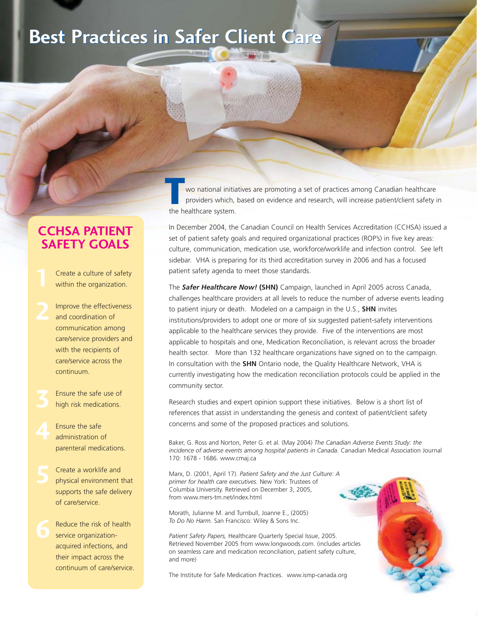## **Best Practices in Safer Client Care Best Practices in Safer Client Care**

### **CCHSA PATIENT SAFETY GOALS**

Create a culture of safety within the organization.

- Improve the effectiveness and coordination of communication among care/service providers and with the recipients of care/service across the continuum.
- Ensure the safe use of high risk medications.

Ensure the safe administration of parenteral medications.

Create a worklife and physical environment that supports the safe delivery of care/service.

Reduce the risk of health service organizationacquired infections, and their impact across the continuum of care/service.

wo national initiatives are promoting a set of practices among Canadian healthcare providers which, based on evidence and research, will increase patient/client safety in **The mean of the healthcare system.**<br> **The healthcare system.** 

In December 2004, the Canadian Council on Health Services Accreditation (CCHSA) issued a set of patient safety goals and required organizational practices (ROP's) in five key areas: culture, communication, medication use, workforce/worklife and infection control. See left sidebar. VHA is preparing for its third accreditation survey in 2006 and has a focused patient safety agenda to meet those standards.

The *Safer Healthcare Now!* **(SHN)** Campaign, launched in April 2005 across Canada, challenges healthcare providers at all levels to reduce the number of adverse events leading to patient injury or death. Modeled on a campaign in the U.S., **SHN** invites institutions/providers to adopt one or more of six suggested patient-safety interventions applicable to the healthcare services they provide. Five of the interventions are most applicable to hospitals and one, Medication Reconciliation, is relevant across the broader health sector. More than 132 healthcare organizations have signed on to the campaign. In consultation with the **SHN** Ontario node, the Quality Healthcare Network, VHA is currently investigating how the medication reconciliation protocols could be applied in the community sector.

Research studies and expert opinion support these initiatives. Below is a short list of references that assist in understanding the genesis and context of patient/client safety concerns and some of the proposed practices and solutions.

Baker, G. Ross and Norton, Peter G. et al. (May 2004) *The Canadian Adverse Events Study: the incidence of adverse events among hospital patients in Canada.* Canadian Medical Association Journal 170: 1678 - 1686. www.cmaj.ca

Marx, D. (2001, April 17). *Patient Safety and the Just Culture: A primer for health care executives.* New York: Trustees of Columbia University. Retrieved on December 3, 2005, from www.mers-tm.net/index.html

Morath, Julianne M. and Turnbull, Joanne E., (2005) *To Do No Harm.* San Francisco: Wiley & Sons Inc.

*Patient Safety Papers,* Healthcare Quarterly Special Issue, 2005. Retrieved November 2005 from www.longwoods.com. (includes articles on seamless care and medication reconciliation, patient safety culture, and more)

The Institute for Safe Medication Practices. www.ismp-canada.org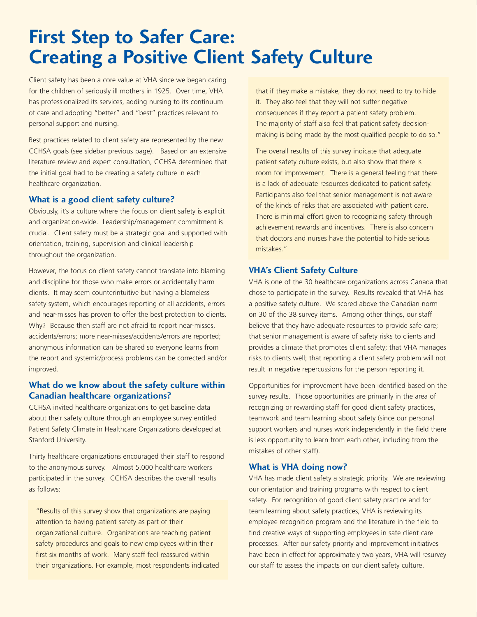## **First Step to Safer Care: Creating a Positive Client Safety Culture**

Client safety has been a core value at VHA since we began caring for the children of seriously ill mothers in 1925. Over time, VHA has professionalized its services, adding nursing to its continuum of care and adopting "better" and "best" practices relevant to personal support and nursing.

Best practices related to client safety are represented by the new CCHSA goals (see sidebar previous page). Based on an extensive literature review and expert consultation, CCHSA determined that the initial goal had to be creating a safety culture in each healthcare organization.

### **What is a good client safety culture?**

Obviously, it's a culture where the focus on client safety is explicit and organization-wide. Leadership/management commitment is crucial. Client safety must be a strategic goal and supported with orientation, training, supervision and clinical leadership throughout the organization.

However, the focus on client safety cannot translate into blaming and discipline for those who make errors or accidentally harm clients. It may seem counterintuitive but having a blameless safety system, which encourages reporting of all accidents, errors and near-misses has proven to offer the best protection to clients. Why? Because then staff are not afraid to report near-misses, accidents/errors; more near-misses/accidents/errors are reported; anonymous information can be shared so everyone learns from the report and systemic/process problems can be corrected and/or improved.

### **What do we know about the safety culture within Canadian healthcare organizations?**

CCHSA invited healthcare organizations to get baseline data about their safety culture through an employee survey entitled Patient Safety Climate in Healthcare Organizations developed at Stanford University.

Thirty healthcare organizations encouraged their staff to respond to the anonymous survey. Almost 5,000 healthcare workers participated in the survey. CCHSA describes the overall results as follows:

"Results of this survey show that organizations are paying attention to having patient safety as part of their organizational culture. Organizations are teaching patient safety procedures and goals to new employees within their first six months of work. Many staff feel reassured within their organizations. For example, most respondents indicated that if they make a mistake, they do not need to try to hide it. They also feel that they will not suffer negative consequences if they report a patient safety problem. The majority of staff also feel that patient safety decisionmaking is being made by the most qualified people to do so."

The overall results of this survey indicate that adequate patient safety culture exists, but also show that there is room for improvement. There is a general feeling that there is a lack of adequate resources dedicated to patient safety. Participants also feel that senior management is not aware of the kinds of risks that are associated with patient care. There is minimal effort given to recognizing safety through achievement rewards and incentives. There is also concern that doctors and nurses have the potential to hide serious mistakes."

### **VHA's Client Safety Culture**

VHA is one of the 30 healthcare organizations across Canada that chose to participate in the survey. Results revealed that VHA has a positive safety culture. We scored above the Canadian norm on 30 of the 38 survey items. Among other things, our staff believe that they have adequate resources to provide safe care; that senior management is aware of safety risks to clients and provides a climate that promotes client safety; that VHA manages risks to clients well; that reporting a client safety problem will not result in negative repercussions for the person reporting it.

Opportunities for improvement have been identified based on the survey results. Those opportunities are primarily in the area of recognizing or rewarding staff for good client safety practices, teamwork and team learning about safety (since our personal support workers and nurses work independently in the field there is less opportunity to learn from each other, including from the mistakes of other staff).

#### **What is VHA doing now?**

VHA has made client safety a strategic priority. We are reviewing our orientation and training programs with respect to client safety. For recognition of good client safety practice and for team learning about safety practices, VHA is reviewing its employee recognition program and the literature in the field to find creative ways of supporting employees in safe client care processes. After our safety priority and improvement initiatives have been in effect for approximately two years, VHA will resurvey our staff to assess the impacts on our client safety culture.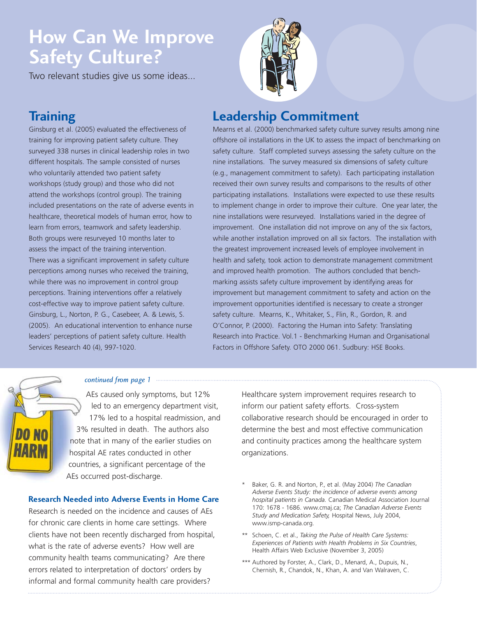## **How Can We Improve Safety Culture?**

Two relevant studies give us some ideas...

### **Training**

Ginsburg et al. (2005) evaluated the effectiveness of training for improving patient safety culture. They surveyed 338 nurses in clinical leadership roles in two different hospitals. The sample consisted of nurses who voluntarily attended two patient safety workshops (study group) and those who did not attend the workshops (control group). The training included presentations on the rate of adverse events in healthcare, theoretical models of human error, how to learn from errors, teamwork and safety leadership. Both groups were resurveyed 10 months later to assess the impact of the training intervention. There was a significant improvement in safety culture perceptions among nurses who received the training, while there was no improvement in control group perceptions. Training interventions offer a relatively cost-effective way to improve patient safety culture. Ginsburg, L., Norton, P. G., Casebeer, A. & Lewis, S. (2005). An educational intervention to enhance nurse leaders' perceptions of patient safety culture. Health Services Research 40 (4), 997-1020.



### **Leadership Commitment**

Mearns et al. (2000) benchmarked safety culture survey results among nine offshore oil installations in the UK to assess the impact of benchmarking on safety culture. Staff completed surveys assessing the safety culture on the nine installations. The survey measured six dimensions of safety culture (e.g., management commitment to safety). Each participating installation received their own survey results and comparisons to the results of other participating installations. Installations were expected to use these results to implement change in order to improve their culture. One year later, the nine installations were resurveyed. Installations varied in the degree of improvement. One installation did not improve on any of the six factors, while another installation improved on all six factors. The installation with the greatest improvement increased levels of employee involvement in health and safety, took action to demonstrate management commitment and improved health promotion. The authors concluded that benchmarking assists safety culture improvement by identifying areas for improvement but management commitment to safety and action on the improvement opportunities identified is necessary to create a stronger safety culture. Mearns, K., Whitaker, S., Flin, R., Gordon, R. and O'Connor, P. (2000). Factoring the Human into Safety: Translating Research into Practice. Vol.1 - Benchmarking Human and Organisational Factors in Offshore Safety. OTO 2000 061. Sudbury: HSE Books.



### *continued from page 1*

AEs caused only symptoms, but 12% led to an emergency department visit, 17% led to a hospital readmission, and 3% resulted in death. The authors also note that in many of the earlier studies on hospital AE rates conducted in other countries, a significant percentage of the AEs occurred post-discharge.

### **Research Needed into Adverse Events in Home Care**

Research is needed on the incidence and causes of AEs for chronic care clients in home care settings. Where clients have not been recently discharged from hospital, what is the rate of adverse events? How well are community health teams communicating? Are there errors related to interpretation of doctors' orders by informal and formal community health care providers?

Healthcare system improvement requires research to inform our patient safety efforts. Cross-system collaborative research should be encouraged in order to determine the best and most effective communication and continuity practices among the healthcare system organizations.

- \* Baker, G. R. and Norton, P., et al. (May 2004) *The Canadian Adverse Events Study: the incidence of adverse events among hospital patients in Canada.* Canadian Medical Association Journal 170: 1678 - 1686. www.cmaj.ca; *The Canadian Adverse Events Study and Medication Safety,* Hospital News, July 2004, www.ismp-canada.org.
- \*\* Schoen, C. et al., *Taking the Pulse of Health Care Systems: Experiences of Patients with Health Problems in Six Countries*, Health Affairs Web Exclusive (November 3, 2005)
- \*\*\* Authored by Forster, A., Clark, D., Menard, A., Dupuis, N., Chernish, R., Chandok, N., Khan, A. and Van Walraven, C.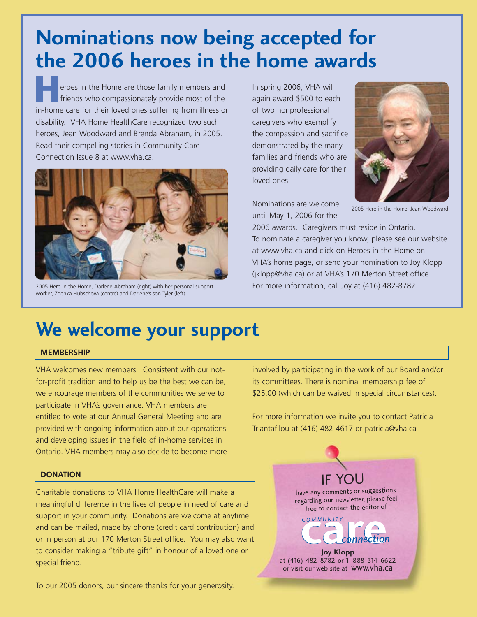# **Nominations now being accepted for the 2006 heroes in the home awards**

eroes in the Home are those family members and friends who compassionately provide most of the **Example 10** eroes in the Home are those family members and friends who compassionately provide most of the in-home care for their loved ones suffering from illness or disability. VHA Home HealthCare recognized two such heroes, Jean Woodward and Brenda Abraham, in 2005. Read their compelling stories in Community Care Connection Issue 8 at www.vha.ca.



2005 Hero in the Home, Darlene Abraham (right) with her personal support worker, Zdenka Hubschova (centre) and Darlene's son Tyler (left).

In spring 2006, VHA will again award \$500 to each of two nonprofessional caregivers who exemplify the compassion and sacrifice demonstrated by the many families and friends who are providing daily care for their loved ones.



Nominations are welcome until May 1, 2006 for the

2005 Hero in the Home, Jean Woodward

2006 awards. Caregivers must reside in Ontario. To nominate a caregiver you know, please see our website at www.vha.ca and click on Heroes in the Home on VHA's home page, or send your nomination to Joy Klopp (jklopp@vha.ca) or at VHA's 170 Merton Street office. For more information, call Joy at (416) 482-8782.

## **We welcome your support**

### **MEMBERSHIP**

VHA welcomes new members. Consistent with our notfor-profit tradition and to help us be the best we can be, we encourage members of the communities we serve to participate in VHA's governance. VHA members are entitled to vote at our Annual General Meeting and are provided with ongoing information about our operations and developing issues in the field of in-home services in Ontario. VHA members may also decide to become more

### **DONATION**

Charitable donations to VHA Home HealthCare will make a meaningful difference in the lives of people in need of care and support in your community. Donations are welcome at anytime and can be mailed, made by phone (credit card contribution) and or in person at our 170 Merton Street office. You may also want to consider making a "tribute gift" in honour of a loved one or special friend.

To our 2005 donors, our sincere thanks for your generosity.

involved by participating in the work of our Board and/or its committees. There is nominal membership fee of \$25.00 (which can be waived in special circumstances).

For more information we invite you to contact Patricia Triantafilou at (416) 482-4617 or patricia@vha.ca